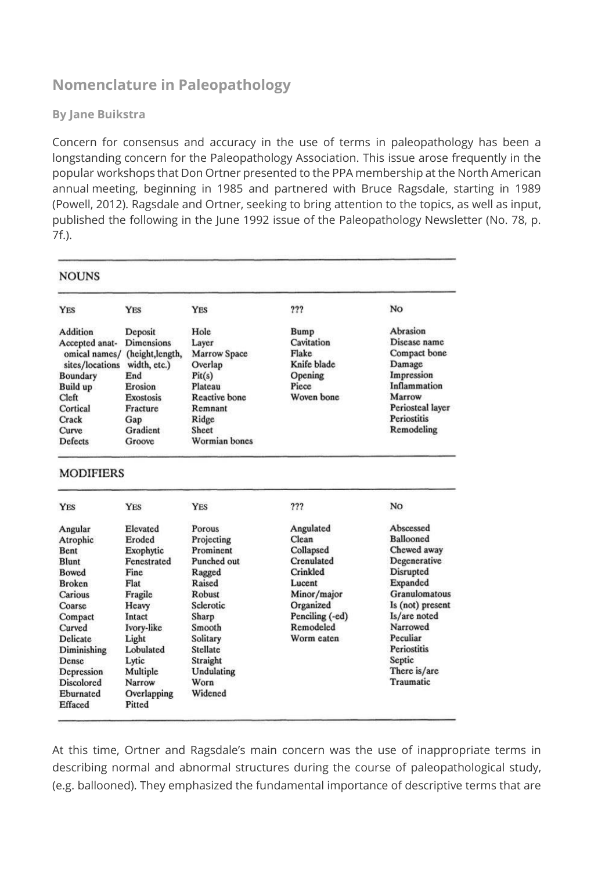## **Nomenclature in Paleopathology**

## **By Jane Buikstra**

Concern for consensus and accuracy in the use of terms in paleopathology has been a longstanding concern for the Paleopathology Association. This issue arose frequently in the popular workshops that Don Ortner presented to the PPA membership at the North American annual meeting, beginning in 1985 and partnered with Bruce Ragsdale, starting in 1989 (Powell, 2012). Ragsdale and Ortner, seeking to bring attention to the topics, as well as input, published the following in the June 1992 issue of the Paleopathology Newsletter (No. 78, p. 7f.).

| <b>NOUNS</b>                                                                                                                        |                                                                                                                              |                                                                                                                                    |                                                                      |                                                                                                                                        |
|-------------------------------------------------------------------------------------------------------------------------------------|------------------------------------------------------------------------------------------------------------------------------|------------------------------------------------------------------------------------------------------------------------------------|----------------------------------------------------------------------|----------------------------------------------------------------------------------------------------------------------------------------|
| <b>YES</b>                                                                                                                          | <b>YES</b>                                                                                                                   | <b>YES</b>                                                                                                                         | ???                                                                  | No                                                                                                                                     |
| Addition                                                                                                                            | Deposit                                                                                                                      | Hole                                                                                                                               | <b>Bump</b>                                                          | Abrasion                                                                                                                               |
| Accepted anat-<br>omical names/<br>sites/locations<br>Boundary<br>Build up<br>Cleft<br>Cortical<br>Crack<br>Curve<br><b>Defects</b> | <b>Dimensions</b><br>(height,length,<br>width, etc.)<br>End<br>Erosion<br>Exostosis<br>Fracture<br>Gap<br>Gradient<br>Groove | Laver<br><b>Marrow Space</b><br>Overlap<br>Pit(s)<br>Plateau<br><b>Reactive</b> bone<br>Remnant<br>Ridge<br>Sheet<br>Wormian bones | Cavitation<br>Flake<br>Knife blade<br>Opening<br>Piece<br>Woven bone | Disease name<br>Compact bone<br>Damage<br>Impression<br>Inflammation<br>Marrow<br>Periosteal layer<br><b>Periostitis</b><br>Remodeling |
| <b>MODIFIERS</b><br><b>YES</b>                                                                                                      | <b>YES</b>                                                                                                                   | <b>YES</b>                                                                                                                         | ???                                                                  | No                                                                                                                                     |
|                                                                                                                                     |                                                                                                                              |                                                                                                                                    |                                                                      |                                                                                                                                        |
| Angular                                                                                                                             | Elevated                                                                                                                     | Porous                                                                                                                             | Angulated                                                            | Abscessed                                                                                                                              |
| Atrophic                                                                                                                            | Eroded                                                                                                                       | Projecting                                                                                                                         | Clean                                                                | <b>Ballooned</b>                                                                                                                       |
| Bent                                                                                                                                | Exophytic                                                                                                                    | Prominent                                                                                                                          | Collapsed                                                            | Chewed away                                                                                                                            |
| Blunt                                                                                                                               | Fenestrated                                                                                                                  | Punched out                                                                                                                        | Crenulated                                                           | Degenerative                                                                                                                           |
| <b>Bowed</b>                                                                                                                        | Fine:                                                                                                                        | Ragged                                                                                                                             | Crinkled                                                             | Disrupted                                                                                                                              |
| <b>Broken</b>                                                                                                                       | Flat                                                                                                                         | Raised                                                                                                                             | Lucent                                                               | Expanded                                                                                                                               |
| Carious                                                                                                                             | Fragile                                                                                                                      | Robust                                                                                                                             | Minor/major                                                          | Granulomatous                                                                                                                          |
| Coarse                                                                                                                              | Heavy                                                                                                                        | Sclerotic                                                                                                                          | Organized                                                            | Is (not) present                                                                                                                       |
| Compact                                                                                                                             | Intact                                                                                                                       | Sharp                                                                                                                              | Penciling (-ed)                                                      | Is/are noted                                                                                                                           |
| Curved                                                                                                                              | Ivory-like                                                                                                                   | Smooth                                                                                                                             | Remodeled                                                            | Narrowed                                                                                                                               |
| <b>Delicate</b>                                                                                                                     | Light                                                                                                                        | Solitary                                                                                                                           | Worm eaten                                                           | Peculiar                                                                                                                               |
| Diminishing                                                                                                                         | Lobulated                                                                                                                    | Stellate                                                                                                                           |                                                                      | <b>Periostitis</b>                                                                                                                     |
| Dense                                                                                                                               | Lytic                                                                                                                        | Straight                                                                                                                           |                                                                      | Septic                                                                                                                                 |
| Depression                                                                                                                          | Multiple                                                                                                                     | Undulating                                                                                                                         |                                                                      | There is/are                                                                                                                           |
| <b>Discolored</b>                                                                                                                   | Narrow                                                                                                                       | Worn                                                                                                                               |                                                                      | Traumatic                                                                                                                              |
| Eburnated<br>Effaced                                                                                                                | Overlapping<br>Pitted                                                                                                        | Widened                                                                                                                            |                                                                      |                                                                                                                                        |

At this time, Ortner and Ragsdale's main concern was the use of inappropriate terms in describing normal and abnormal structures during the course of paleopathological study, (e.g. ballooned). They emphasized the fundamental importance of descriptive terms that are